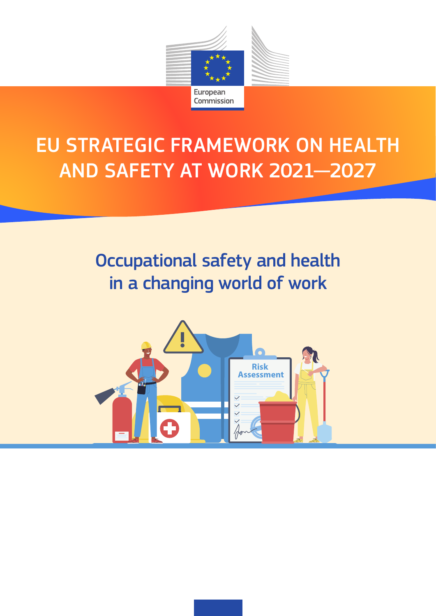

# EU STRATEGIC FRAMEWORK ON HEALTH AND SAFETY AT WORK 2021—2027

# Occupational safety and health in a changing world of work

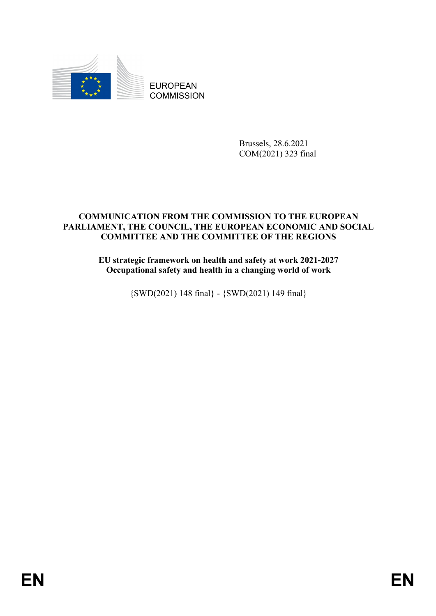

EUROPEAN **COMMISSION** 

> Brussels, 28.6.2021 COM(2021) 323 final

#### **COMMUNICATION FROM THE COMMISSION TO THE EUROPEAN PARLIAMENT, THE COUNCIL, THE EUROPEAN ECONOMIC AND SOCIAL COMMITTEE AND THE COMMITTEE OF THE REGIONS**

**EU strategic framework on health and safety at work 2021-2027 Occupational safety and health in a changing world of work**

{SWD(2021) 148 final} - {SWD(2021) 149 final}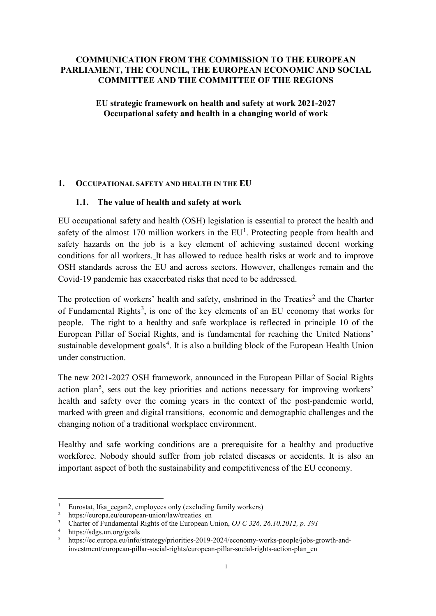#### **COMMUNICATION FROM THE COMMISSION TO THE EUROPEAN PARLIAMENT, THE COUNCIL, THE EUROPEAN ECONOMIC AND SOCIAL COMMITTEE AND THE COMMITTEE OF THE REGIONS**

**EU strategic framework on health and safety at work 2021-2027 Occupational safety and health in a changing world of work**

#### **1. OCCUPATIONAL SAFETY AND HEALTH IN THE EU**

#### **1.1. The value of health and safety at work**

EU occupational safety and health (OSH) legislation is essential to protect the health and safety of the almost [1](#page-2-0)70 million workers in the  $EU<sup>1</sup>$ . Protecting people from health and safety hazards on the job is a key element of achieving sustained decent working conditions for all workers. It has allowed to reduce health risks at work and to improve OSH standards across the EU and across sectors. However, challenges remain and the Covid-19 pandemic has exacerbated risks that need to be addressed.

The protection of workers' health and safety, enshrined in the  $Treaties<sup>2</sup>$  $Treaties<sup>2</sup>$  $Treaties<sup>2</sup>$  and the Charter of Fundamental Rights<sup>[3](#page-2-2)</sup>, is one of the key elements of an EU economy that works for people. The right to a healthy and safe workplace is reflected in principle 10 of the European Pillar of Social Rights, and is fundamental for reaching the United Nations' sustainable development goals<sup>[4](#page-2-3)</sup>. It is also a building block of the European Health Union under construction.

The new 2021-2027 OSH framework, announced in the European Pillar of Social Rights action plan<sup>[5](#page-2-4)</sup>, sets out the key priorities and actions necessary for improving workers' health and safety over the coming years in the context of the post-pandemic world, marked with green and digital transitions, economic and demographic challenges and the changing notion of a traditional workplace environment.

Healthy and safe working conditions are a prerequisite for a healthy and productive workforce. Nobody should suffer from job related diseases or accidents. It is also an important aspect of both the sustainability and competitiveness of the EU economy.

<span id="page-2-0"></span><sup>&</sup>lt;sup>1</sup> Eurostat, Ifsa\_eegan2, employees only (excluding family workers)<br><sup>2</sup> https://europa.eu/european-union/law/treaties en

<span id="page-2-1"></span>https://europa.eu/european-union/law/treaties\_en

<sup>3</sup> Charter of Fundamental Rights of the European Union, *OJ C 326, 26.10.2012, p. 391*

<span id="page-2-4"></span><span id="page-2-3"></span><span id="page-2-2"></span><sup>4</sup> https://sdgs.un.org/goals<br>5 https://ec.europa.eu/info/

<sup>5</sup> https://ec.europa.eu/info/strategy/priorities-2019-2024/economy-works-people/jobs-growth-andinvestment/european-pillar-social-rights/european-pillar-social-rights-action-plan\_en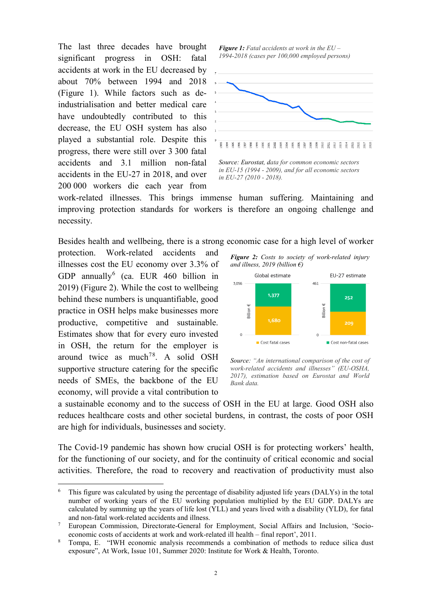The last three decades have brought significant progress in OSH: fatal accidents at work in the EU decreased by about 70% between 1994 and 2018 (Figure 1). While factors such as deindustrialisation and better medical care have undoubtedly contributed to this decrease, the EU OSH system has also played a substantial role. Despite this progress, there were still over 3 300 fatal accidents and 3.1 million non-fatal accidents in the EU-27 in 2018, and over 200 000 workers die each year from

*Figure 1: Fatal accidents at work in the EU – 1994-2018 (cases per 100,000 employed persons)*



*in EU-15 (1994 - 2009), and for all economic sectors in EU-27 (2010 - 2018).*

work-related illnesses. This brings immense human suffering. Maintaining and improving protection standards for workers is therefore an ongoing challenge and necessity.

Besides health and wellbeing, there is a strong economic case for a high level of worker

protection. Work-related accidents and illnesses cost the EU economy over 3.3% of GDP annually<sup>[6](#page-3-0)</sup> (ca. EUR 460 billion in 2019) (Figure 2). While the cost to wellbeing behind these numbers is unquantifiable, good practice in OSH helps make businesses more productive, competitive and sustainable. Estimates show that for every euro invested in OSH, the return for the employer is around twice as much<sup>[7](#page-3-1)[8](#page-3-2)</sup>. A solid OSH supportive structure catering for the specific needs of SMEs, the backbone of the EU economy, will provide a vital contribution to

*Figure 2: Costs to society of work-related injury and illness, 2019 (billion €)*



*Source: "An international comparison of the cost of work-related accidents and illnesses" (EU-OSHA, 2017), estimation based on Eurostat and World Bank data.*

a sustainable economy and to the success of OSH in the EU at large. Good OSH also reduces healthcare costs and other societal burdens, in contrast, the costs of poor OSH are high for individuals, businesses and society.

The Covid-19 pandemic has shown how crucial OSH is for protecting workers' health, for the functioning of our society, and for the continuity of critical economic and social activities. Therefore, the road to recovery and reactivation of productivity must also

<span id="page-3-0"></span>This figure was calculated by using the percentage of disability adjusted life years (DALYs) in the total number of working years of the EU working population multiplied by the EU GDP. DALYs are calculated by summing up the years of life lost (YLL) and years lived with a disability (YLD), for fatal and non-fatal work-related accidents and illness.

<span id="page-3-1"></span><sup>7</sup> European Commission, Directorate-General for Employment, Social Affairs and Inclusion, 'Socioeconomic costs of accidents at work and work-related ill health – final report', 2011.<br>Tompa, E. "IWH economic analysis recommends a combination of methods to reduce silica dust

<span id="page-3-2"></span>exposure", At Work, Issue 101, Summer 2020: Institute for Work & Health, Toronto.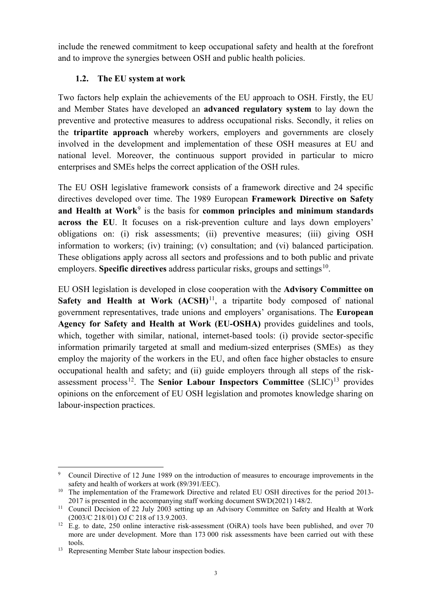include the renewed commitment to keep occupational safety and health at the forefront and to improve the synergies between OSH and public health policies.

# **1.2. The EU system at work**

Two factors help explain the achievements of the EU approach to OSH. Firstly, the EU and Member States have developed an **advanced regulatory system** to lay down the preventive and protective measures to address occupational risks. Secondly, it relies on the **tripartite approach** whereby workers, employers and governments are closely involved in the development and implementation of these OSH measures at EU and national level. Moreover, the continuous support provided in particular to micro enterprises and SMEs helps the correct application of the OSH rules.

The EU OSH legislative framework consists of a framework directive and 24 specific directives developed over time. The 1989 European **Framework Directive on Safety**  and Health at Work<sup>[9](#page-4-0)</sup> is the basis for **common principles and minimum standards across the EU**. It focuses on a risk-prevention culture and lays down employers' obligations on: (i) risk assessments; (ii) preventive measures; (iii) giving OSH information to workers; (iv) training; (v) consultation; and (vi) balanced participation. These obligations apply across all sectors and professions and to both public and private employers. **Specific directives** address particular risks, groups and settings<sup>10</sup>.

EU OSH legislation is developed in close cooperation with the **Advisory Committee on Safety and Health at Work (ACSH)<sup>11</sup>, a tripartite body composed of national** government representatives, trade unions and employers' organisations. The **European Agency for Safety and Health at Work (EU-OSHA)** provides guidelines and tools, which, together with similar, national, internet-based tools: (i) provide sector-specific information primarily targeted at small and medium-sized enterprises (SMEs) as they employ the majority of the workers in the EU, and often face higher obstacles to ensure occupational health and safety; and (ii) guide employers through all steps of the risk-assessment process<sup>[12](#page-4-3)</sup>. The **Senior Labour Inspectors Committee**  $(SLIC)^{13}$  $(SLIC)^{13}$  $(SLIC)^{13}$  provides opinions on the enforcement of EU OSH legislation and promotes knowledge sharing on labour-inspection practices.

<span id="page-4-0"></span> <sup>9</sup> Council Directive of 12 June 1989 on the introduction of measures to encourage improvements in the safety and health of workers at work (89/391/EEC).

<span id="page-4-1"></span><sup>&</sup>lt;sup>10</sup> The implementation of the Framework Directive and related EU OSH directives for the period 2013-2017 is presented in the accompanying staff working document SWD(2021) 148/2.

<span id="page-4-2"></span><sup>&</sup>lt;sup>11</sup> Council Decision of 22 July 2003 setting up an Advisory Committee on Safety and Health at Work (2003/C 218/01) OJ C 218 of 13.9.2003.

<span id="page-4-3"></span><sup>&</sup>lt;sup>12</sup> E.g. to date, 250 online interactive risk-assessment (OiRA) tools have been published, and over 70 more are under development. More than 173 000 risk assessments have been carried out with these tools.

<span id="page-4-4"></span><sup>&</sup>lt;sup>13</sup> Representing Member State labour inspection bodies.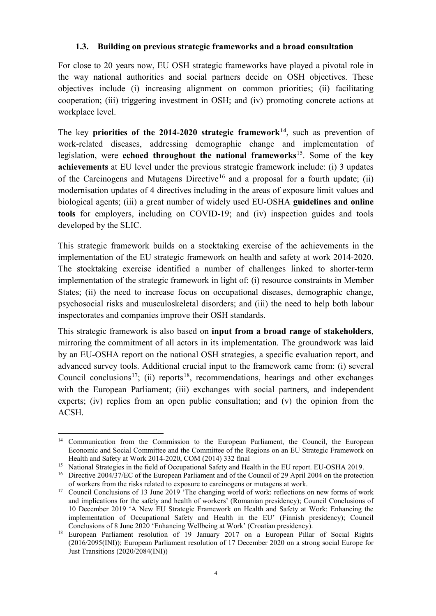#### **1.3. Building on previous strategic frameworks and a broad consultation**

For close to 20 years now, EU OSH strategic frameworks have played a pivotal role in the way national authorities and social partners decide on OSH objectives. These objectives include (i) increasing alignment on common priorities; (ii) facilitating cooperation; (iii) triggering investment in OSH; and (iv) promoting concrete actions at workplace level.

The key **priorities of the 2014-2020 strategic framework[14](#page-5-0)**, such as prevention of work-related diseases, addressing demographic change and implementation of legislation, were **echoed throughout the national frameworks**[15.](#page-5-1) Some of the **key achievements** at EU level under the previous strategic framework include: (i) 3 updates of the Carcinogens and Mutagens Directive<sup>[16](#page-5-2)</sup> and a proposal for a fourth update; (ii) modernisation updates of 4 directives including in the areas of exposure limit values and biological agents; (iii) a great number of widely used EU-OSHA **guidelines and online tools** for employers, including on COVID-19; and (iv) inspection guides and tools developed by the SLIC.

This strategic framework builds on a stocktaking exercise of the achievements in the implementation of the EU strategic framework on health and safety at work 2014-2020. The stocktaking exercise identified a number of challenges linked to shorter-term implementation of the strategic framework in light of: (i) resource constraints in Member States; (ii) the need to increase focus on occupational diseases, demographic change, psychosocial risks and musculoskeletal disorders; and (iii) the need to help both labour inspectorates and companies improve their OSH standards.

This strategic framework is also based on **input from a broad range of stakeholders**, mirroring the commitment of all actors in its implementation. The groundwork was laid by an EU-OSHA report on the national OSH strategies, a specific evaluation report, and advanced survey tools. Additional crucial input to the framework came from: (i) several Council conclusions<sup>[17](#page-5-3)</sup>; (ii) reports<sup>[18](#page-5-4)</sup>, recommendations, hearings and other exchanges with the European Parliament; (iii) exchanges with social partners, and independent experts; (iv) replies from an open public consultation; and (v) the opinion from the ACSH.

<span id="page-5-0"></span><sup>&</sup>lt;sup>14</sup> Communication from the Commission to the European Parliament, the Council, the European Economic and Social Committee and the Committee of the Regions on an EU Strategic Framework on Health and Safety at Work 2014-2020, COM (2014) 332 final

<span id="page-5-1"></span><sup>&</sup>lt;sup>15</sup> National Strategies in the field of Occupational Safety and Health in the EU report. EU-OSHA 2019.

<span id="page-5-2"></span><sup>&</sup>lt;sup>16</sup> Directive 2004/37/EC of the European Parliament and of the Council of 29 April 2004 on the protection of workers from the risks related to exposure to carcinogens or mutagens at work.

<span id="page-5-3"></span><sup>&</sup>lt;sup>17</sup> Council Conclusions of 13 June 2019 'The changing world of work: reflections on new forms of work and implications for the safety and health of workers' (Romanian presidency); Council Conclusions of 10 December 2019 'A New EU Strategic Framework on Health and Safety at Work: Enhancing the implementation of Occupational Safety and Health in the EU' (Finnish presidency); Council Conclusions of 8 June 2020 'Enhancing Wellbeing at Work' (Croatian presidency).

<span id="page-5-4"></span><sup>&</sup>lt;sup>18</sup> European Parliament resolution of 19 January 2017 on a European Pillar of Social Rights (2016/2095(INI)); European Parliament resolution of 17 December 2020 on a strong social Europe for Just Transitions (2020/2084(INI))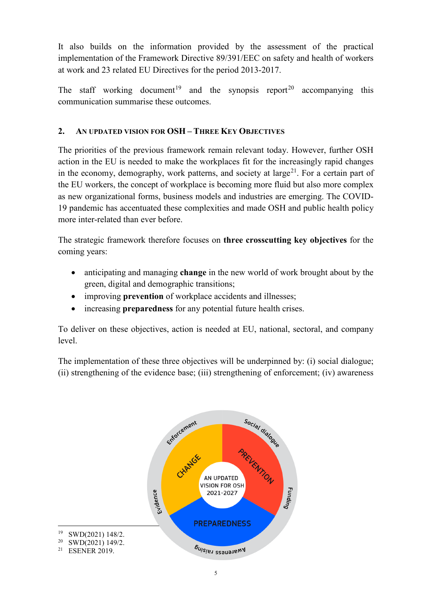It also builds on the information provided by the assessment of the practical implementation of the Framework Directive 89/391/EEC on safety and health of workers at work and 23 related EU Directives for the period 2013-2017.

The staff working document<sup>[19](#page-6-0)</sup> and the synopsis report<sup>[20](#page-6-1)</sup> accompanying this communication summarise these outcomes.

# **2. AN UPDATED VISION FOR OSH – THREE KEY OBJECTIVES**

The priorities of the previous framework remain relevant today. However, further OSH action in the EU is needed to make the workplaces fit for the increasingly rapid changes in the economy, demography, work patterns, and society at large<sup>[21](#page-6-2)</sup>. For a certain part of the EU workers, the concept of workplace is becoming more fluid but also more complex as new organizational forms, business models and industries are emerging. The COVID-19 pandemic has accentuated these complexities and made OSH and public health policy more inter-related than ever before.

The strategic framework therefore focuses on **three crosscutting key objectives** for the coming years:

- anticipating and managing **change** in the new world of work brought about by the green, digital and demographic transitions;
- improving **prevention** of workplace accidents and illnesses;
- increasing **preparedness** for any potential future health crises.

To deliver on these objectives, action is needed at EU, national, sectoral, and company level.

The implementation of these three objectives will be underpinned by: (i) social dialogue; (ii) strengthening of the evidence base; (iii) strengthening of enforcement; (iv) awareness



<span id="page-6-0"></span>

<span id="page-6-2"></span><span id="page-6-1"></span><sup>&</sup>lt;sup>20</sup> SWD(2021) 149/2.<br><sup>21</sup> ESENER 2019

**ESENER 2019.**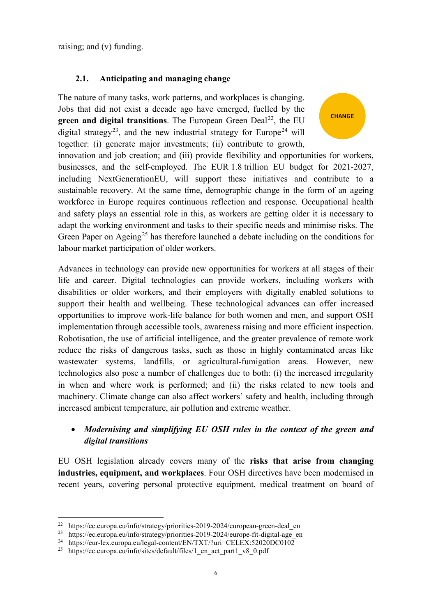raising; and (v) funding.

# **2.1. Anticipating and managing change**

The nature of many tasks, work patterns, and workplaces is changing. Jobs that did not exist a decade ago have emerged, fuelled by the **green and digital transitions**. The European Green Deal<sup>22</sup>, the EU digital strategy<sup>23</sup>, and the new industrial strategy for Europe<sup>[24](#page-7-2)</sup> will together: (i) generate major investments; (ii) contribute to growth,

innovation and job creation; and (iii) provide flexibility and opportunities for workers, businesses, and the self-employed. The EUR 1.8 trillion EU budget for 2021-2027, including NextGenerationEU, will support these initiatives and contribute to a sustainable recovery. At the same time, demographic change in the form of an ageing workforce in Europe requires continuous reflection and response. Occupational health and safety plays an essential role in this, as workers are getting older it is necessary to adapt the working environment and tasks to their specific needs and minimise risks. The Green Paper on Ageing<sup>[25](#page-7-3)</sup> has therefore launched a debate including on the conditions for labour market participation of older workers.

**CHANGE** 

Advances in technology can provide new opportunities for workers at all stages of their life and career. Digital technologies can provide workers, including workers with disabilities or older workers, and their employers with digitally enabled solutions to support their health and wellbeing. These technological advances can offer increased opportunities to improve work-life balance for both women and men, and support OSH implementation through accessible tools, awareness raising and more efficient inspection. Robotisation, the use of artificial intelligence, and the greater prevalence of remote work reduce the risks of dangerous tasks, such as those in highly contaminated areas like wastewater systems, landfills, or agricultural-fumigation areas. However, new technologies also pose a number of challenges due to both: (i) the increased irregularity in when and where work is performed; and (ii) the risks related to new tools and machinery. Climate change can also affect workers' safety and health, including through increased ambient temperature, air pollution and extreme weather.

# • *Modernising and simplifying EU OSH rules in the context of the green and digital transitions*

EU OSH legislation already covers many of the **risks that arise from changing industries, equipment, and workplaces**. Four OSH directives have been modernised in recent years, covering personal protective equipment, medical treatment on board of

<span id="page-7-0"></span><sup>&</sup>lt;sup>22</sup> https://ec.europa.eu/info/strategy/priorities-2019-2024/european-green-deal\_en<br><sup>23</sup> https://ec.europa.eu/info/strategy/priorities-2019-2024/europe-fit-digital-age\_en

<span id="page-7-2"></span><span id="page-7-1"></span><sup>24</sup> https://eur-lex.europa.eu/legal-content/EN/TXT/?uri=CELEX:52020DC0102

<span id="page-7-3"></span><sup>&</sup>lt;sup>25</sup> https://ec.europa.eu/info/sites/default/files/1 en act part1 v8 0.pdf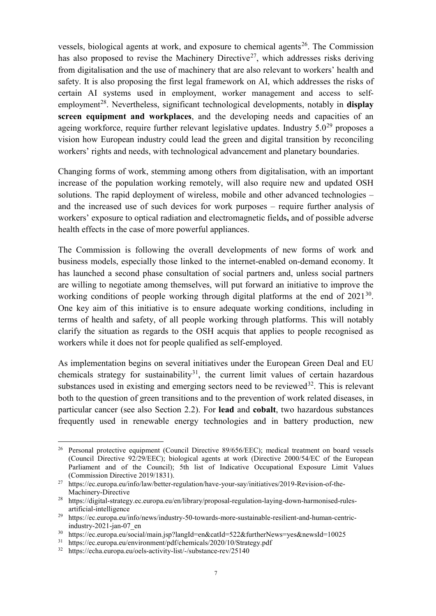vessels, biological agents at work, and exposure to chemical agents<sup>[26](#page-8-0)</sup>. The Commission has also proposed to revise the Machinery Directive<sup>[27](#page-8-1)</sup>, which addresses risks deriving from digitalisation and the use of machinery that are also relevant to workers' health and safety. It is also proposing the first legal framework on AI, which addresses the risks of certain AI systems used in employment, worker management and access to self-employment<sup>[28](#page-8-2)</sup>. Nevertheless, significant technological developments, notably in **display screen equipment and workplaces**, and the developing needs and capacities of an ageing workforce, require further relevant legislative updates. Industry  $5.0^{29}$  $5.0^{29}$  $5.0^{29}$  proposes a vision how European industry could lead the green and digital transition by reconciling workers' rights and needs, with technological advancement and planetary boundaries.

Changing forms of work, stemming among others from digitalisation, with an important increase of the population working remotely, will also require new and updated OSH solutions. The rapid deployment of wireless, mobile and other advanced technologies – and the increased use of such devices for work purposes – require further analysis of workers' exposure to optical radiation and electromagnetic fields**,** and of possible adverse health effects in the case of more powerful appliances.

The Commission is following the overall developments of new forms of work and business models, especially those linked to the internet-enabled on-demand economy. It has launched a second phase consultation of social partners and, unless social partners are willing to negotiate among themselves, will put forward an initiative to improve the working conditions of people working through digital platforms at the end of 2021<sup>[30](#page-8-4)</sup>. One key aim of this initiative is to ensure adequate working conditions, including in terms of health and safety, of all people working through platforms. This will notably clarify the situation as regards to the OSH acquis that applies to people recognised as workers while it does not for people qualified as self-employed.

As implementation begins on several initiatives under the European Green Deal and EU chemicals strategy for sustainability<sup>31</sup>, the current limit values of certain hazardous substances used in existing and emerging sectors need to be reviewed<sup>32</sup>. This is relevant both to the question of green transitions and to the prevention of work related diseases, in particular cancer (see also Section 2.2). For **lead** and **cobalt**, two hazardous substances frequently used in renewable energy technologies and in battery production, new

<span id="page-8-0"></span><sup>&</sup>lt;sup>26</sup> Personal protective equipment (Council Directive 89/656/EEC); medical treatment on board vessels (Council Directive 92/29/EEC); biological agents at work (Directive 2000/54/EC of the European Parliament and of the Council); 5th list of Indicative Occupational Exposure Limit Values (Commission Directive 2019/1831).

<span id="page-8-1"></span><sup>27</sup> https://ec.europa.eu/info/law/better-regulation/have-your-say/initiatives/2019-Revision-of-the-

<span id="page-8-2"></span>Machinery-Directive<br><sup>28</sup> https://digital-strategy.ec.europa.eu/en/library/proposal-regulation-laying-down-harmonised-rulesartificial-intelligence

<span id="page-8-3"></span><sup>&</sup>lt;sup>29</sup> [https://ec.europa.eu/info/news/industry-50-towards-more-sustainable-resilient-and-human-centric](https://ec.europa.eu/info/news/industry-50-towards-more-sustainable-resilient-and-human-centric-industry-2021-jan-07_en)[industry-2021-jan-07\\_en](https://ec.europa.eu/info/news/industry-50-towards-more-sustainable-resilient-and-human-centric-industry-2021-jan-07_en)

<sup>30</sup> https://ec.europa.eu/social/main.jsp?langId=en&catId=522&furtherNews=yes&newsId=10025

<span id="page-8-5"></span><span id="page-8-4"></span><sup>31</sup> https://ec.europa.eu/environment/pdf/chemicals/2020/10/Strategy.pdf

<span id="page-8-6"></span><sup>32</sup> https://echa.europa.eu/oels-activity-list/-/substance-rev/25140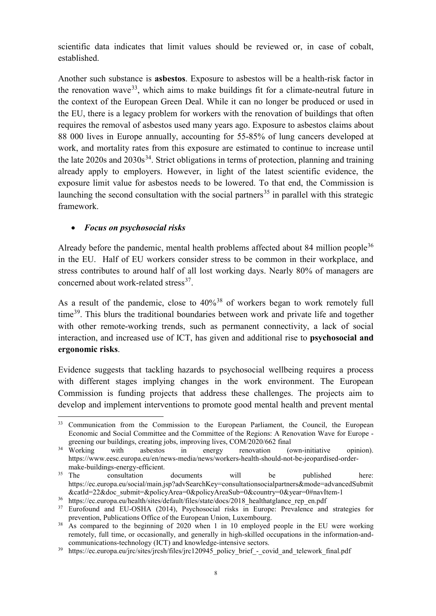scientific data indicates that limit values should be reviewed or, in case of cobalt, established.

Another such substance is **asbestos**. Exposure to asbestos will be a health-risk factor in the renovation wave<sup>33</sup>, which aims to make buildings fit for a climate-neutral future in the context of the European Green Deal. While it can no longer be produced or used in the EU, there is a legacy problem for workers with the renovation of buildings that often requires the removal of asbestos used many years ago. Exposure to asbestos claims about 88 000 lives in Europe annually, accounting for 55-85% of lung cancers developed at work, and mortality rates from this exposure are estimated to continue to increase until the late  $2020s$  and  $2030s^{34}$ . Strict obligations in terms of protection, planning and training already apply to employers. However, in light of the latest scientific evidence, the exposure limit value for asbestos needs to be lowered. To that end, the Commission is launching the second consultation with the social partners<sup>[35](#page-9-2)</sup> in parallel with this strategic framework.

#### • *Focus on psychosocial risks*

Already before the pandemic, mental health problems affected about 84 million people<sup>[36](#page-9-3)</sup> in the EU. Half of EU workers consider stress to be common in their workplace, and stress contributes to around half of all lost working days. Nearly 80% of managers are concerned about work-related stress $^{37}$  $^{37}$  $^{37}$ .

As a result of the pandemic, close to  $40\%$ <sup>[38](#page-9-5)</sup> of workers began to work remotely full time<sup>[39](#page-9-6)</sup>. This blurs the traditional boundaries between work and private life and together with other remote-working trends, such as permanent connectivity, a lack of social interaction, and increased use of ICT, has given and additional rise to **psychosocial and ergonomic risks**.

Evidence suggests that tackling hazards to psychosocial wellbeing requires a process with different stages implying changes in the work environment. The European Commission is funding projects that address these challenges. The projects aim to develop and implement interventions to promote good mental health and prevent mental

<span id="page-9-0"></span><sup>&</sup>lt;sup>33</sup> Communication from the Commission to the European Parliament, the Council, the European Economic and Social Committee and the Committee of the Regions: A Renovation Wave for Europe -

<span id="page-9-1"></span>greening our buildings, creating jobs, improving lives, COM/2020/662 final<br><sup>34</sup> Working with asbestos in energy renovation (c with asbestos in energy renovation (own-initiative opinion). https://www.eesc.europa.eu/en/news-media/news/workers-health-should-not-be-jeopardised-order-

<span id="page-9-2"></span>make-buildings-energy-efficient.<br><sup>35</sup> The consultation  $\alpha$  consultation documents will be published here: https://ec.europa.eu/social/main.jsp?advSearchKey=consultationsocialpartners&mode=advancedSubmit &catId=22&doc\_submit=&policyArea=0&policyAreaSub=0&country=0&year=0#navItem-1

<span id="page-9-3"></span><sup>36</sup> https://ec.europa.eu/health/sites/default/files/state/docs/2018\_healthatglance\_rep\_en.pdf

<span id="page-9-4"></span><sup>&</sup>lt;sup>37</sup> Eurofound and EU-OSHA (2014), Psychosocial risks in Europe: Prevalence and strategies for prevention, Publications Office of the European Union, Luxembourg.

<span id="page-9-5"></span> $38$  As compared to the beginning of 2020 when 1 in 10 employed people in the EU were working remotely, full time, or occasionally, and generally in high-skilled occupations in the information-andcommunications-technology (ICT) and knowledge-intensive sectors.

<span id="page-9-6"></span><sup>&</sup>lt;sup>39</sup> https://ec.europa.eu/jrc/sites/jrcsh/files/jrc120945\_policy\_brief\_-\_covid\_and\_telework\_final.pdf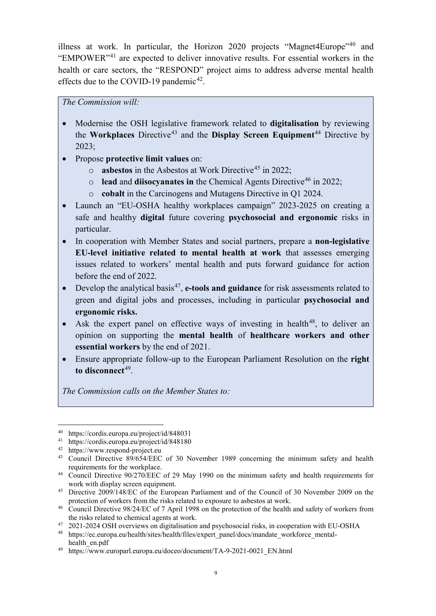illness at work. In particular, the Horizon 2020 projects "Magnet4Europe"<sup>[40](#page-10-0)</sup> and "EMPOWER"[41](#page-10-1) are expected to deliver innovative results. For essential workers in the health or care sectors, the "RESPOND" project aims to address adverse mental health effects due to the COVID-19 pandemic<sup>42</sup>.

*The Commission will:*

- Modernise the OSH legislative framework related to **digitalisation** by reviewing the **Workplaces** Directive<sup>[43](#page-10-3)</sup> and the **Display Screen Equipment**<sup>[44](#page-10-4)</sup> Directive by 2023;
- Propose **protective limit values** on:
	- o **asbestos** in the Asbestos at Work Directive<sup>[45](#page-10-5)</sup> in 2022;
	- o **lead** and **diisocyanates in** the Chemical Agents Directive<sup>[46](#page-10-6)</sup> in 2022;
	- o **cobalt** in the Carcinogens and Mutagens Directive in Q1 2024.
- Launch an "EU-OSHA healthy workplaces campaign" 2023-2025 on creating a safe and healthy **digital** future covering **psychosocial and ergonomic** risks in particular.
- In cooperation with Member States and social partners, prepare a **non-legislative EU-level initiative related to mental health at work** that assesses emerging issues related to workers' mental health and puts forward guidance for action before the end of 2022.
- **Example 1** Develop the analytical basis<sup>47</sup>, **e-tools and guidance** for risk assessments related to green and digital jobs and processes, including in particular **psychosocial and ergonomic risks.**
- Ask the expert panel on effective ways of investing in health<sup>[48](#page-10-8)</sup>, to deliver an opinion on supporting the **mental health** of **healthcare workers and other essential workers** by the end of 2021.
- Ensure appropriate follow-up to the European Parliament Resolution on the **right**  to disconnect<sup>49</sup>.

*The Commission calls on the Member States to:* 

 <sup>40</sup> <https://cordis.europa.eu/project/id/848031>

<span id="page-10-1"></span><span id="page-10-0"></span><sup>41</sup> <https://cordis.europa.eu/project/id/848180>

<span id="page-10-2"></span><sup>42</sup> https:/[/www.respond-project.eu](http://www.respond-project.eu/)

<span id="page-10-3"></span><sup>&</sup>lt;sup>43</sup> Council Directive 89/654/EEC of 30 November 1989 concerning the minimum safety and health requirements for the workplace.

<span id="page-10-4"></span><sup>44</sup> Council Directive 90/270/EEC of 29 May 1990 on the minimum safety and health requirements for work with display screen equipment.

<span id="page-10-5"></span><sup>&</sup>lt;sup>45</sup> Directive 2009/148/EC of the European Parliament and of the Council of 30 November 2009 on the protection of workers from the risks related to exposure to asbestos at work.

<span id="page-10-6"></span><sup>&</sup>lt;sup>46</sup> Council Directive 98/24/EC of 7 April 1998 on the protection of the health and safety of workers from the risks related to chemical agents at work.

<span id="page-10-8"></span><span id="page-10-7"></span><sup>&</sup>lt;sup>47</sup> 2021-2024 OSH overviews on digitalisation and psychosocial risks, in cooperation with EU-OSHA<br><sup>48</sup> https://ec.europa.eu/health/sites/health/files/expert\_panel/docs/mandate\_workforce\_mental-

[https://ec.europa.eu/health/sites/health/files/expert\\_panel/docs/mandate\\_workforce\\_mental](https://ec.europa.eu/health/sites/health/files/expert_panel/docs/mandate_workforce_mental-health_en.pdf)[health\\_en.pdf](https://ec.europa.eu/health/sites/health/files/expert_panel/docs/mandate_workforce_mental-health_en.pdf)

<span id="page-10-9"></span><sup>49</sup> https://www.europarl.europa.eu/doceo/document/TA-9-2021-0021\_EN.html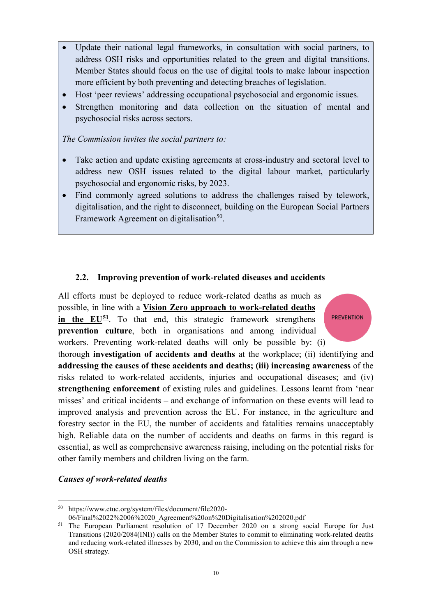- Update their national legal frameworks, in consultation with social partners, to address OSH risks and opportunities related to the green and digital transitions. Member States should focus on the use of digital tools to make labour inspection more efficient by both preventing and detecting breaches of legislation.
- Host 'peer reviews' addressing occupational psychosocial and ergonomic issues.
- Strengthen monitoring and data collection on the situation of mental and psychosocial risks across sectors.

*The Commission invites the social partners to:*

- Take action and update existing agreements at cross-industry and sectoral level to address new OSH issues related to the digital labour market, particularly psychosocial and ergonomic risks, by 2023.
- Find commonly agreed solutions to address the challenges raised by telework, digitalisation, and the right to disconnect, building on the European Social Partners Framework Agreement on digitalisation<sup>50</sup>.

#### **2.2. Improving prevention of work-related diseases and accidents**

All efforts must be deployed to reduce work-related deaths as much as possible, in line with a **Vision Zero approach to work-related deaths in the EU<sup>[51](#page-11-1)</sup>**. To that end, this strategic framework strengthens **prevention culture**, both in organisations and among individual workers. Preventing work-related deaths will only be possible by: (i)

**PREVENTION** 

thorough **investigation of accidents and deaths** at the workplace; (ii) identifying and **addressing the causes of these accidents and deaths; (iii) increasing awareness** of the risks related to work-related accidents, injuries and occupational diseases; and (iv) **strengthening enforcement** of existing rules and guidelines. Lessons learnt from 'near misses' and critical incidents – and exchange of information on these events will lead to improved analysis and prevention across the EU. For instance, in the agriculture and forestry sector in the EU, the number of accidents and fatalities remains unacceptably high. Reliable data on the number of accidents and deaths on farms in this regard is essential, as well as comprehensive awareness raising, including on the potential risks for other family members and children living on the farm.

#### *Causes of work-related deaths*

<span id="page-11-0"></span> <sup>50</sup> https://www.etuc.org/system/files/document/file2020-

<sup>06/</sup>Final%2022%2006%2020\_Agreement%20on%20Digitalisation%202020.pdf

<span id="page-11-1"></span><sup>&</sup>lt;sup>51</sup> The European Parliament resolution of 17 December 2020 on a strong social Europe for Just Transitions (2020/2084(INI)) calls on the Member States to commit to eliminating work-related deaths and reducing work-related illnesses by 2030, and on the Commission to achieve this aim through a new OSH strategy.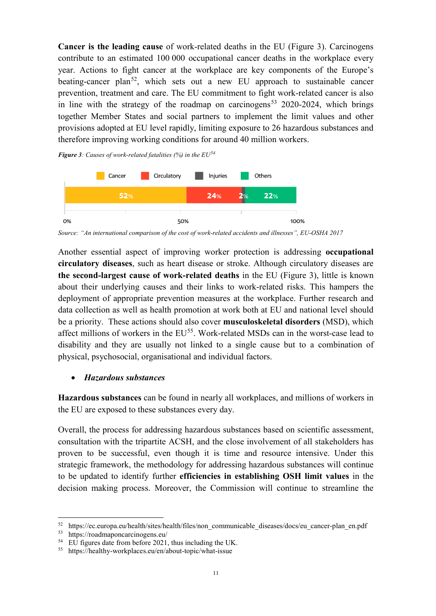**Cancer is the leading cause** of work-related deaths in the EU (Figure 3). Carcinogens contribute to an estimated 100 000 occupational cancer deaths in the workplace every year. Actions to fight cancer at the workplace are key components of the Europe's beating-cancer plan<sup>[52](#page-12-0)</sup>, which sets out a new EU approach to sustainable cancer prevention, treatment and care. The EU commitment to fight work-related cancer is also in line with the strategy of the roadmap on carcinogens<sup>[53](#page-12-1)</sup> 2020-2024, which brings together Member States and social partners to implement the limit values and other provisions adopted at EU level rapidly, limiting exposure to 26 hazardous substances and therefore improving working conditions for around 40 million workers.

*Figure 3: Causes of work-related fatalities (%) in the EU[54](#page-12-2)*



*Source: "An international comparison of the cost of work-related accidents and illnesses", EU-OSHA 2017*

Another essential aspect of improving worker protection is addressing **occupational circulatory diseases**, such as heart disease or stroke. Although circulatory diseases are **the second-largest cause of work-related deaths** in the EU (Figure 3), little is known about their underlying causes and their links to work-related risks. This hampers the deployment of appropriate prevention measures at the workplace. Further research and data collection as well as health promotion at work both at EU and national level should be a priority. These actions should also cover **musculoskeletal disorders** (MSD), which affect millions of workers in the EU<sup>[55](#page-12-3)</sup>. Work-related MSDs can in the worst-case lead to disability and they are usually not linked to a single cause but to a combination of physical, psychosocial, organisational and individual factors.

#### • *Hazardous substances*

**Hazardous substances** can be found in nearly all workplaces, and millions of workers in the EU are exposed to these substances every day.

Overall, the process for addressing hazardous substances based on scientific assessment, consultation with the tripartite ACSH, and the close involvement of all stakeholders has proven to be successful, even though it is time and resource intensive. Under this strategic framework, the methodology for addressing hazardous substances will continue to be updated to identify further **efficiencies in establishing OSH limit values** in the decision making process. Moreover, the Commission will continue to streamline the

<span id="page-12-0"></span><sup>&</sup>lt;sup>52</sup> https://ec.europa.eu/health/sites/health/files/non\_communicable\_diseases/docs/eu\_cancer-plan\_en.pdf<br><sup>53</sup> https://roadmanoncarcinogens.eu/

<span id="page-12-1"></span><sup>53</sup> https://roadmaponcarcinogens.eu/

<span id="page-12-2"></span><sup>54</sup> EU figures date from before 2021, thus including the UK.

<span id="page-12-3"></span><sup>55</sup> https://healthy-workplaces.eu/en/about-topic/what-issue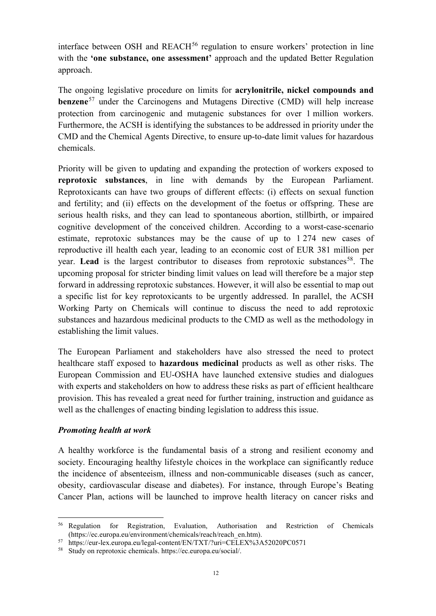interface between OSH and  $REACH<sup>56</sup>$  $REACH<sup>56</sup>$  $REACH<sup>56</sup>$  regulation to ensure workers' protection in line with the **'one substance, one assessment'** approach and the updated Better Regulation approach.

The ongoing legislative procedure on limits for **acrylonitrile, nickel compounds and benzene**<sup>[57](#page-13-1)</sup> under the Carcinogens and Mutagens Directive (CMD) will help increase protection from carcinogenic and mutagenic substances for over 1 million workers. Furthermore, the ACSH is identifying the substances to be addressed in priority under the CMD and the Chemical Agents Directive, to ensure up-to-date limit values for hazardous chemicals.

Priority will be given to updating and expanding the protection of workers exposed to **reprotoxic substances**, in line with demands by the European Parliament. Reprotoxicants can have two groups of different effects: (i) effects on sexual function and fertility; and (ii) effects on the development of the foetus or offspring. These are serious health risks, and they can lead to spontaneous abortion, stillbirth, or impaired cognitive development of the conceived children. According to a worst-case-scenario estimate, reprotoxic substances may be the cause of up to 1 274 new cases of reproductive ill health each year, leading to an economic cost of EUR 381 million per year. Lead is the largest contributor to diseases from reprotoxic substances<sup>[58](#page-13-2)</sup>. The upcoming proposal for stricter binding limit values on lead will therefore be a major step forward in addressing reprotoxic substances. However, it will also be essential to map out a specific list for key reprotoxicants to be urgently addressed. In parallel, the ACSH Working Party on Chemicals will continue to discuss the need to add reprotoxic substances and hazardous medicinal products to the CMD as well as the methodology in establishing the limit values.

The European Parliament and stakeholders have also stressed the need to protect healthcare staff exposed to **hazardous medicinal** products as well as other risks. The European Commission and EU-OSHA have launched extensive studies and dialogues with experts and stakeholders on how to address these risks as part of efficient healthcare provision. This has revealed a great need for further training, instruction and guidance as well as the challenges of enacting binding legislation to address this issue.

#### *Promoting health at work*

A healthy workforce is the fundamental basis of a strong and resilient economy and society. Encouraging healthy lifestyle choices in the workplace can significantly reduce the incidence of absenteeism, illness and non-communicable diseases (such as cancer, obesity, cardiovascular disease and diabetes). For instance, through Europe's Beating Cancer Plan, actions will be launched to improve health literacy on cancer risks and

<span id="page-13-0"></span> <sup>56</sup> Regulation for Registration, Evaluation, Authorisation and Restriction of Chemicals (https://ec.europa.eu/environment/chemicals/reach/reach\_en.htm).

<span id="page-13-1"></span><sup>57</sup> https://eur-lex.europa.eu/legal-content/EN/TXT/?uri=CELEX%3A52020PC0571

<span id="page-13-2"></span><sup>58</sup> Study on reprotoxic chemicals. https://ec.europa.eu/social/.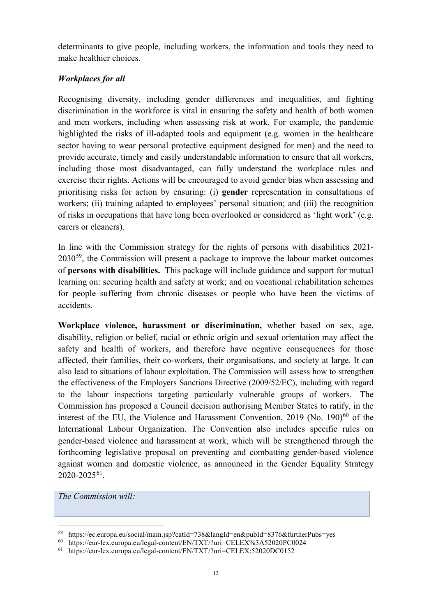determinants to give people, including workers, the information and tools they need to make healthier choices.

# *Workplaces for all*

Recognising diversity, including gender differences and inequalities, and fighting discrimination in the workforce is vital in ensuring the safety and health of both women and men workers, including when assessing risk at work. For example, the pandemic highlighted the risks of ill-adapted tools and equipment (e.g. women in the healthcare sector having to wear personal protective equipment designed for men) and the need to provide accurate, timely and easily understandable information to ensure that all workers, including those most disadvantaged, can fully understand the workplace rules and exercise their rights. Actions will be encouraged to avoid gender bias when assessing and prioritising risks for action by ensuring: (i) **gender** representation in consultations of workers; (ii) training adapted to employees' personal situation; and (iii) the recognition of risks in occupations that have long been overlooked or considered as 'light work' (e.g. carers or cleaners).

In line with the Commission strategy for the rights of persons with disabilities 2021-  $2030^{59}$ , the Commission will present a package to improve the labour market outcomes of **persons with disabilities.** This package will include guidance and support for mutual learning on: securing health and safety at work; and on vocational rehabilitation schemes for people suffering from chronic diseases or people who have been the victims of accidents.

**Workplace violence, harassment or discrimination,** whether based on sex, age, disability, religion or belief, racial or ethnic origin and sexual orientation may affect the safety and health of workers, and therefore have negative consequences for those affected, their families, their co-workers, their organisations, and society at large. It can also lead to situations of labour exploitation. The Commission will assess how to strengthen the effectiveness of the Employers Sanctions Directive (2009/52/EC), including with regard to the labour inspections targeting particularly vulnerable groups of workers. The Commission has proposed a Council decision authorising Member States to ratify, in the interest of the EU, the Violence and Harassment Convention,  $2019$  (No.  $190$ )<sup>[60](#page-14-1)</sup> of the International Labour Organization. The Convention also includes specific rules on gender-based violence and harassment at work, which will be strengthened through the forthcoming legislative proposal on preventing and combatting gender-based violence against women and domestic violence, as announced in the Gender Equality Strategy 2020-2025[61](#page-14-2).

*The Commission will:*

<span id="page-14-0"></span><sup>&</sup>lt;sup>59</sup> https://ec.europa.eu/social/main.jsp?catId=738&langId=en&pubId=8376&furtherPubs=yes<br><sup>60</sup> https://eur-lex.europa.eu/legal-content/FN/TXT/?uri=CEI EX%3A57020PC0024

<span id="page-14-1"></span><sup>60</sup> https://eur-lex.europa.eu/legal-content/EN/TXT/?uri=CELEX%3A52020PC0024

<span id="page-14-2"></span>https://eur-lex.europa.eu/legal-content/EN/TXT/?uri=CELEX:52020DC0152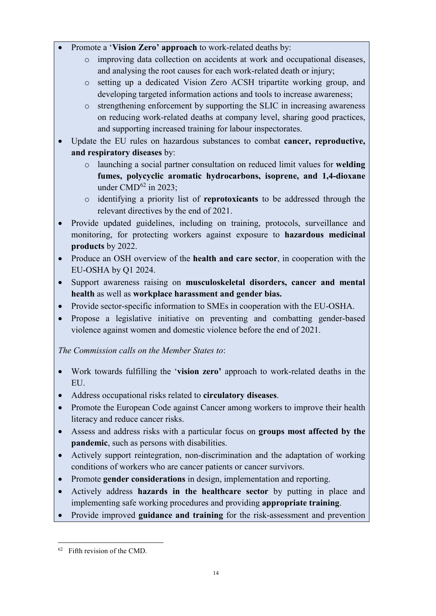- Promote a '**Vision Zero' approach** to work-related deaths by:
	- o improving data collection on accidents at work and occupational diseases, and analysing the root causes for each work-related death or injury;
	- o setting up a dedicated Vision Zero ACSH tripartite working group, and developing targeted information actions and tools to increase awareness;
	- o strengthening enforcement by supporting the SLIC in increasing awareness on reducing work-related deaths at company level, sharing good practices, and supporting increased training for labour inspectorates.
- Update the EU rules on hazardous substances to combat **cancer, reproductive, and respiratory diseases** by:
	- o launching a social partner consultation on reduced limit values for **welding fumes, polycyclic aromatic hydrocarbons, isoprene, and 1,4-dioxane**  under CMD $^{62}$  $^{62}$  $^{62}$  in 2023;
	- o identifying a priority list of **reprotoxicants** to be addressed through the relevant directives by the end of 2021.
- Provide updated guidelines, including on training, protocols, surveillance and monitoring, for protecting workers against exposure to **hazardous medicinal products** by 2022.
- Produce an OSH overview of the **health and care sector**, in cooperation with the EU-OSHA by Q1 2024.
- Support awareness raising on **musculoskeletal disorders, cancer and mental health** as well as **workplace harassment and gender bias.**
- Provide sector-specific information to SMEs in cooperation with the EU-OSHA.
- Propose a legislative initiative on preventing and combatting gender-based violence against women and domestic violence before the end of 2021.

*The Commission calls on the Member States to*:

- Work towards fulfilling the '**vision zero'** approach to work-related deaths in the EU.
- Address occupational risks related to **circulatory diseases**.
- Promote the European Code against Cancer among workers to improve their health literacy and reduce cancer risks.
- Assess and address risks with a particular focus on **groups most affected by the pandemic**, such as persons with disabilities.
- Actively support reintegration, non-discrimination and the adaptation of working conditions of workers who are cancer patients or cancer survivors.
- Promote **gender considerations** in design, implementation and reporting.
- Actively address **hazards in the healthcare sector** by putting in place and implementing safe working procedures and providing **appropriate training**.
- Provide improved **guidance and training** for the risk-assessment and prevention

<span id="page-15-0"></span> $62$  Fifth revision of the CMD.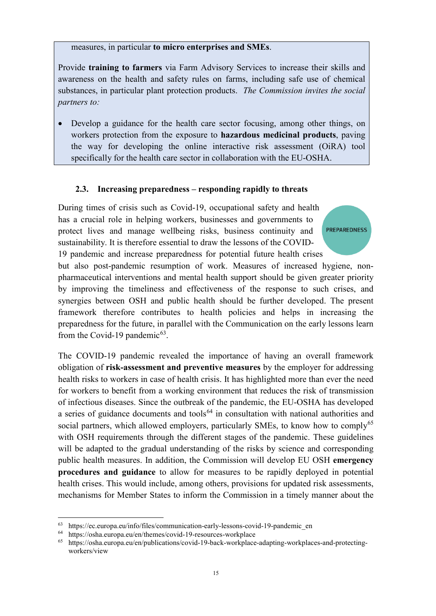measures, in particular **to micro enterprises and SMEs**.

Provide **training to farmers** via Farm Advisory Services to increase their skills and awareness on the health and safety rules on farms, including safe use of chemical substances, in particular plant protection products. *The Commission invites the social partners to:*

• Develop a guidance for the health care sector focusing, among other things, on workers protection from the exposure to **hazardous medicinal products**, paving the way for developing the online interactive risk assessment (OiRA) tool specifically for the health care sector in collaboration with the EU-OSHA.

#### **2.3. Increasing preparedness – responding rapidly to threats**

During times of crisis such as Covid-19, occupational safety and health has a crucial role in helping workers, businesses and governments to protect lives and manage wellbeing risks, business continuity and sustainability. It is therefore essential to draw the lessons of the COVID-19 pandemic and increase preparedness for potential future health crises

but also post-pandemic resumption of work. Measures of increased hygiene, nonpharmaceutical interventions and mental health support should be given greater priority by improving the timeliness and effectiveness of the response to such crises, and synergies between OSH and public health should be further developed. The present framework therefore contributes to health policies and helps in increasing the preparedness for the future, in parallel with the Communication on the early lessons learn from the Covid-19 pandemic $63$ .

**PREPAREDNESS** 

The COVID-19 pandemic revealed the importance of having an overall framework obligation of **risk-assessment and preventive measures** by the employer for addressing health risks to workers in case of health crisis. It has highlighted more than ever the need for workers to benefit from a working environment that reduces the risk of transmission of infectious diseases. Since the outbreak of the pandemic, the EU-OSHA has developed a series of guidance documents and tools<sup>[64](#page-16-1)</sup> in consultation with national authorities and social partners, which allowed employers, particularly SMEs, to know how to comply<sup>[65](#page-16-2)</sup> with OSH requirements through the different stages of the pandemic. These guidelines will be adapted to the gradual understanding of the risks by science and corresponding public health measures. In addition, the Commission will develop EU OSH **emergency procedures and guidance** to allow for measures to be rapidly deployed in potential health crises. This would include, among others, provisions for updated risk assessments, mechanisms for Member States to inform the Commission in a timely manner about the

<span id="page-16-0"></span> $63$  https://ec.europa.eu/info/files/communication-early-lessons-covid-19-pandemic en

<span id="page-16-2"></span><span id="page-16-1"></span><sup>&</sup>lt;sup>64</sup> https://osha.europa.eu/en/themes/covid-19-resources-workplace<br><sup>65</sup> https://osha.europa.eu/en/publications/covid-19-back-workplace

<sup>65</sup> [https://osha.europa.eu/en/publications/covid-19-back-workplace-adapting-workplaces-and-protecting](https://osha.europa.eu/en/publications/covid-19-back-workplace-adapting-workplaces-and-protecting-workers/view)[workers/view](https://osha.europa.eu/en/publications/covid-19-back-workplace-adapting-workplaces-and-protecting-workers/view)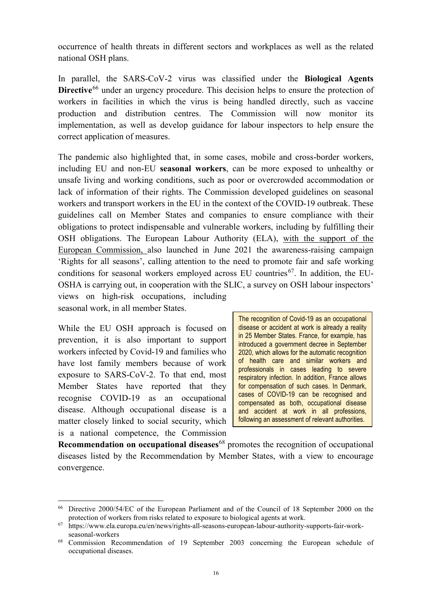occurrence of health threats in different sectors and workplaces as well as the related national OSH plans.

In parallel, the SARS-CoV-2 virus was classified under the **Biological Agents Directive**<sup>[66](#page-17-0)</sup> under an urgency procedure. This decision helps to ensure the protection of workers in facilities in which the virus is being handled directly, such as vaccine production and distribution centres. The Commission will now monitor its implementation, as well as develop guidance for labour inspectors to help ensure the correct application of measures.

The pandemic also highlighted that, in some cases, mobile and cross-border workers, including EU and non-EU **seasonal workers**, can be more exposed to unhealthy or unsafe living and working conditions, such as poor or overcrowded accommodation or lack of information of their rights. The Commission developed guidelines on seasonal workers and transport workers in the EU in the context of the COVID-19 outbreak. These guidelines call on Member States and companies to ensure compliance with their obligations to protect indispensable and vulnerable workers, including by fulfilling their OSH obligations. The European Labour Authority (ELA), with the support of the European Commission, also launched in June 2021 the awareness-raising campaign 'Rights for all seasons', calling attention to the need to promote fair and safe working conditions for seasonal workers employed across EU countries<sup>67</sup>. In addition, the EU-OSHA is carrying out, in cooperation with the SLIC, a survey on OSH labour inspectors' views on high-risk occupations, including seasonal work, in all member States.

While the EU OSH approach is focused on prevention, it is also important to support workers infected by Covid-19 and families who have lost family members because of work exposure to SARS-CoV-2. To that end, most Member States have reported that they recognise COVID-19 as an occupational disease. Although occupational disease is a matter closely linked to social security, which is a national competence, the Commission

The recognition of Covid-19 as an occupational disease or accident at work is already a reality in 25 Member States. France, for example, has introduced a government decree in September 2020, which allows for the automatic recognition of health care and similar workers and professionals in cases leading to severe respiratory infection. In addition, France allows for compensation of such cases. In Denmark, cases of COVID-19 can be recognised and compensated as both, occupational disease and accident at work in all professions, following an assessment of relevant authorities.

**Recommendation on occupational diseases**<sup>[68](#page-17-2)</sup> promotes the recognition of occupational diseases listed by the Recommendation by Member States, with a view to encourage convergence.

<span id="page-17-0"></span> <sup>66</sup> Directive 2000/54/EC of the European Parliament and of the Council of 18 September 2000 on the protection of workers from risks related to exposure to biological agents at work.

<span id="page-17-1"></span><sup>67</sup> https://www.ela.europa.eu/en/news/rights-all-seasons-european-labour-authority-supports-fair-workseasonal-workers

<span id="page-17-2"></span><sup>68</sup> Commission Recommendation of 19 September 2003 concerning the European schedule of occupational diseases.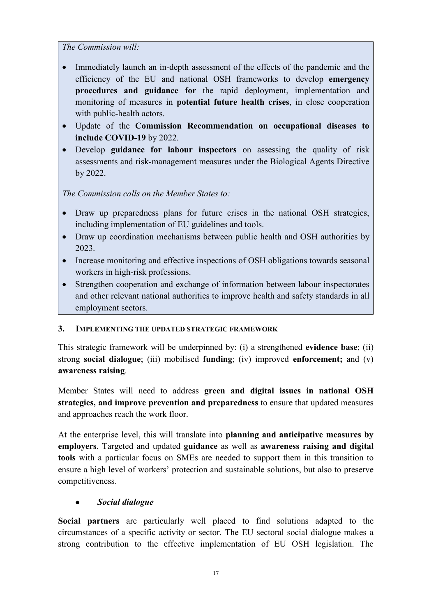*The Commission will:*

- Immediately launch an in-depth assessment of the effects of the pandemic and the efficiency of the EU and national OSH frameworks to develop **emergency procedures and guidance for** the rapid deployment, implementation and monitoring of measures in **potential future health crises**, in close cooperation with public-health actors.
- Update of the **Commission Recommendation on occupational diseases to include COVID-19** by 2022.
- Develop **guidance for labour inspectors** on assessing the quality of risk assessments and risk-management measures under the Biological Agents Directive by 2022.

*The Commission calls on the Member States to:*

- Draw up preparedness plans for future crises in the national OSH strategies, including implementation of EU guidelines and tools.
- Draw up coordination mechanisms between public health and OSH authorities by 2023.
- Increase monitoring and effective inspections of OSH obligations towards seasonal workers in high-risk professions.
- Strengthen cooperation and exchange of information between labour inspectorates and other relevant national authorities to improve health and safety standards in all employment sectors.

#### **3. IMPLEMENTING THE UPDATED STRATEGIC FRAMEWORK**

This strategic framework will be underpinned by: (i) a strengthened **evidence base**; (ii) strong **social dialogue**; (iii) mobilised **funding**; (iv) improved **enforcement;** and (v) **awareness raising**.

Member States will need to address **green and digital issues in national OSH strategies, and improve prevention and preparedness** to ensure that updated measures and approaches reach the work floor.

At the enterprise level, this will translate into **planning and anticipative measures by employers**. Targeted and updated **guidance** as well as **awareness raising and digital tools** with a particular focus on SMEs are needed to support them in this transition to ensure a high level of workers' protection and sustainable solutions, but also to preserve competitiveness.

# • *Social dialogue*

**Social partners** are particularly well placed to find solutions adapted to the circumstances of a specific activity or sector. The EU sectoral social dialogue makes a strong contribution to the effective implementation of EU OSH legislation. The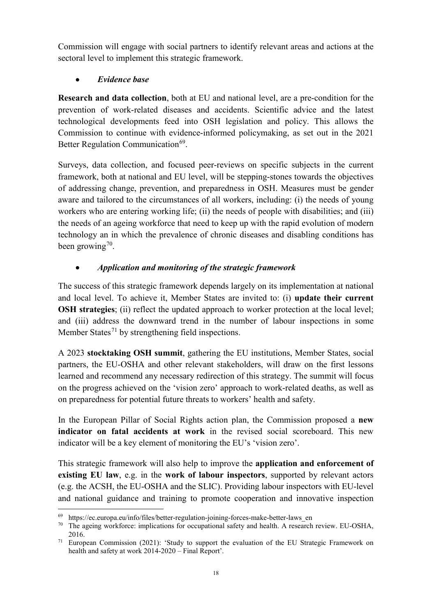Commission will engage with social partners to identify relevant areas and actions at the sectoral level to implement this strategic framework.

# • *Evidence base*

**Research and data collection**, both at EU and national level, are a pre-condition for the prevention of work-related diseases and accidents. Scientific advice and the latest technological developments feed into OSH legislation and policy. This allows the Commission to continue with evidence-informed policymaking, as set out in the 2021 Better Regulation Communication<sup>[69](#page-19-0)</sup>.

Surveys, data collection, and focused peer-reviews on specific subjects in the current framework, both at national and EU level, will be stepping-stones towards the objectives of addressing change, prevention, and preparedness in OSH. Measures must be gender aware and tailored to the circumstances of all workers, including: (i) the needs of young workers who are entering working life; (ii) the needs of people with disabilities; and (iii) the needs of an ageing workforce that need to keep up with the rapid evolution of modern technology an in which the prevalence of chronic diseases and disabling conditions has been growing<sup>70</sup>.

# • *Application and monitoring of the strategic framework*

The success of this strategic framework depends largely on its implementation at national and local level. To achieve it, Member States are invited to: (i) **update their current OSH strategies**; (ii) reflect the updated approach to worker protection at the local level; and (iii) address the downward trend in the number of labour inspections in some Member States<sup>[71](#page-19-2)</sup> by strengthening field inspections.

A 2023 **stocktaking OSH summit**, gathering the EU institutions, Member States, social partners, the EU-OSHA and other relevant stakeholders, will draw on the first lessons learned and recommend any necessary redirection of this strategy. The summit will focus on the progress achieved on the 'vision zero' approach to work-related deaths, as well as on preparedness for potential future threats to workers' health and safety.

In the European Pillar of Social Rights action plan, the Commission proposed a **new indicator on fatal accidents at work** in the revised social scoreboard. This new indicator will be a key element of monitoring the EU's 'vision zero'.

This strategic framework will also help to improve the **application and enforcement of existing EU law**, e.g. in the **work of labour inspectors**, supported by relevant actors (e.g. the ACSH, the EU-OSHA and the SLIC). Providing labour inspectors with EU-level and national guidance and training to promote cooperation and innovative inspection

<span id="page-19-0"></span> <sup>69</sup> https://ec.europa.eu/info/files/better-regulation-joining-forces-make-better-laws\_en

<span id="page-19-1"></span><sup>&</sup>lt;sup>70</sup> The ageing workforce: implications for occupational safety and health. A research review. EU-OSHA, 2016.

<span id="page-19-2"></span><sup>&</sup>lt;sup>71</sup> European Commission (2021): 'Study to support the evaluation of the EU Strategic Framework on health and safety at work 2014-2020 – Final Report'.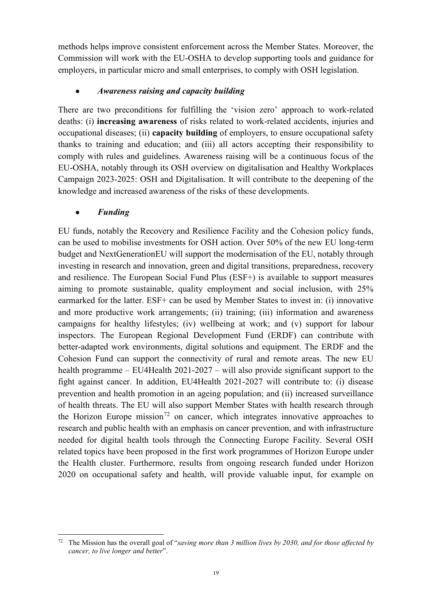methods helps improve consistent enforcement across the Member States. Moreover, the Commission will work with the EU-OSHA to develop supporting tools and guidance for employers, in particular micro and small enterprises, to comply with OSH legislation.

# • *Awareness raising and capacity building*

There are two preconditions for fulfilling the 'vision zero' approach to work-related deaths: (i) **increasing awareness** of risks related to work-related accidents, injuries and occupational diseases; (ii) **capacity building** of employers, to ensure occupational safety thanks to training and education; and (iii) all actors accepting their responsibility to comply with rules and guidelines. Awareness raising will be a continuous focus of the EU-OSHA, notably through its OSH overview on digitalisation and Healthy Workplaces Campaign 2023-2025: OSH and Digitalisation. It will contribute to the deepening of the knowledge and increased awareness of the risks of these developments.

#### • *Funding*

EU funds, notably the Recovery and Resilience Facility and the Cohesion policy funds, can be used to mobilise investments for OSH action. Over 50% of the new EU long-term budget and NextGenerationEU will support the modernisation of the EU, notably through investing in research and innovation, green and digital transitions, preparedness, recovery and resilience. The European Social Fund Plus (ESF+) is available to support measures aiming to promote sustainable, quality employment and social inclusion, with 25% earmarked for the latter. ESF+ can be used by Member States to invest in: (i) innovative and more productive work arrangements; (ii) training; (iii) information and awareness campaigns for healthy lifestyles; (iv) wellbeing at work; and (v) support for labour inspectors. The European Regional Development Fund (ERDF) can contribute with better-adapted work environments, digital solutions and equipment. The ERDF and the Cohesion Fund can support the connectivity of rural and remote areas. The new EU health programme – EU4Health 2021-2027 – will also provide significant support to the fight against cancer. In addition, EU4Health 2021-2027 will contribute to: (i) disease prevention and health promotion in an ageing population; and (ii) increased surveillance of health threats. The EU will also support Member States with health research through the Horizon Europe mission<sup>[72](#page-20-0)</sup> on cancer, which integrates innovative approaches to research and public health with an emphasis on cancer prevention, and with infrastructure needed for digital health tools through the Connecting Europe Facility. Several OSH related topics have been proposed in the first work programmes of Horizon Europe under the Health cluster. Furthermore, results from ongoing research funded under Horizon 2020 on occupational safety and health, will provide valuable input, for example on

<span id="page-20-0"></span> <sup>72</sup> The Mission has the overall goal of "*saving more than 3 million lives by 2030, and for those affected by cancer, to live longer and better*".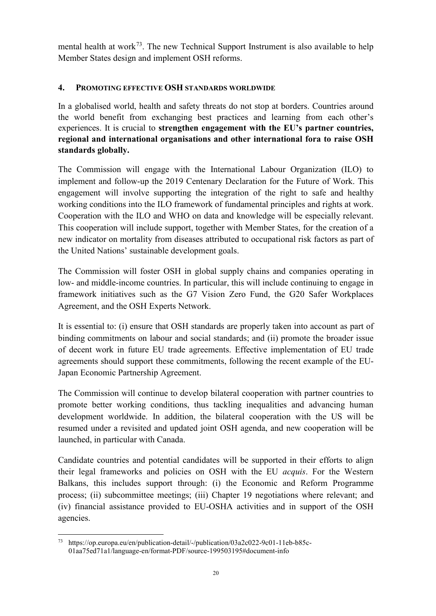mental health at work<sup>[73](#page-21-0)</sup>. The new Technical Support Instrument is also available to help Member States design and implement OSH reforms.

#### **4. PROMOTING EFFECTIVE OSH STANDARDS WORLDWIDE**

In a globalised world, health and safety threats do not stop at borders. Countries around the world benefit from exchanging best practices and learning from each other's experiences. It is crucial to **strengthen engagement with the EU's partner countries, regional and international organisations and other international fora to raise OSH standards globally.**

The Commission will engage with the International Labour Organization (ILO) to implement and follow-up the 2019 Centenary Declaration for the Future of Work. This engagement will involve supporting the integration of the right to safe and healthy working conditions into the ILO framework of fundamental principles and rights at work. Cooperation with the ILO and WHO on data and knowledge will be especially relevant. This cooperation will include support, together with Member States, for the creation of a new indicator on mortality from diseases attributed to occupational risk factors as part of the United Nations' sustainable development goals.

The Commission will foster OSH in global supply chains and companies operating in low- and middle-income countries. In particular, this will include continuing to engage in framework initiatives such as the G7 Vision Zero Fund, the G20 Safer Workplaces Agreement, and the OSH Experts Network.

It is essential to: (i) ensure that OSH standards are properly taken into account as part of binding commitments on labour and social standards; and (ii) promote the broader issue of decent work in future EU trade agreements. Effective implementation of EU trade agreements should support these commitments, following the recent example of the EU-Japan Economic Partnership Agreement.

The Commission will continue to develop bilateral cooperation with partner countries to promote better working conditions, thus tackling inequalities and advancing human development worldwide. In addition, the bilateral cooperation with the US will be resumed under a revisited and updated joint OSH agenda, and new cooperation will be launched, in particular with Canada.

Candidate countries and potential candidates will be supported in their efforts to align their legal frameworks and policies on OSH with the EU *acquis*. For the Western Balkans, this includes support through: (i) the Economic and Reform Programme process; (ii) subcommittee meetings; (iii) Chapter 19 negotiations where relevant; and (iv) financial assistance provided to EU-OSHA activities and in support of the OSH agencies.

<span id="page-21-0"></span> <sup>73</sup> https://op.europa.eu/en/publication-detail/-/publication/03a2c022-9c01-11eb-b85c-01aa75ed71a1/language-en/format-PDF/source-199503195#document-info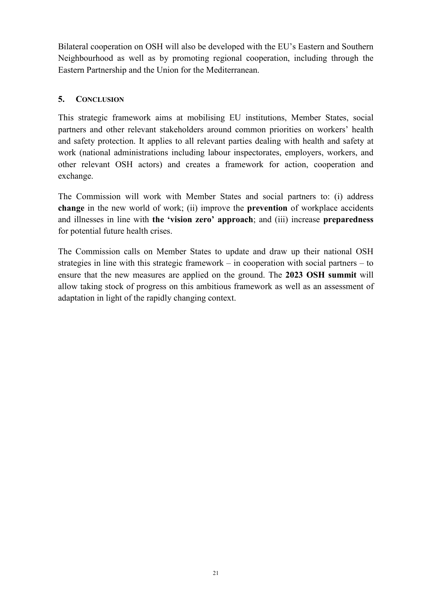Bilateral cooperation on OSH will also be developed with the EU's Eastern and Southern Neighbourhood as well as by promoting regional cooperation, including through the Eastern Partnership and the Union for the Mediterranean.

#### **5. CONCLUSION**

This strategic framework aims at mobilising EU institutions, Member States, social partners and other relevant stakeholders around common priorities on workers' health and safety protection. It applies to all relevant parties dealing with health and safety at work (national administrations including labour inspectorates, employers, workers, and other relevant OSH actors) and creates a framework for action, cooperation and exchange.

The Commission will work with Member States and social partners to: (i) address **change** in the new world of work; (ii) improve the **prevention** of workplace accidents and illnesses in line with **the 'vision zero' approach**; and (iii) increase **preparedness** for potential future health crises.

The Commission calls on Member States to update and draw up their national OSH strategies in line with this strategic framework – in cooperation with social partners – to ensure that the new measures are applied on the ground. The **2023 OSH summit** will allow taking stock of progress on this ambitious framework as well as an assessment of adaptation in light of the rapidly changing context.